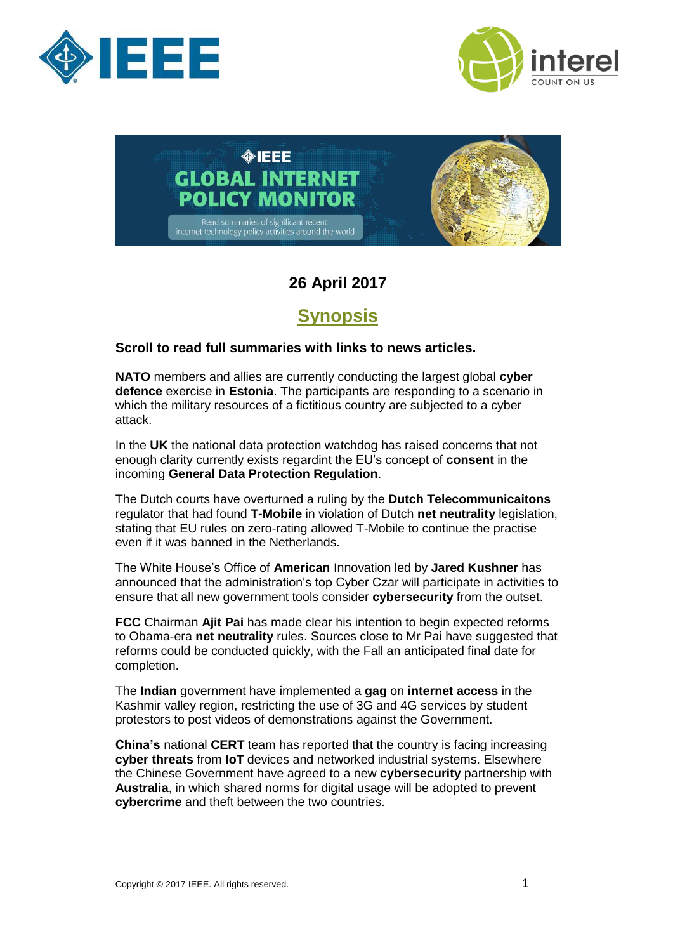





## **26 April 2017**

## **Synopsis**

#### <span id="page-0-0"></span>**Scroll to read full summaries with links to news articles.**

**NATO** members and allies are currently conducting the largest global **cyber defence** exercise in **Estonia**. The participants are responding to a scenario in which the military resources of a fictitious country are subjected to a cyber attack.

In the **UK** the national data protection watchdog has raised concerns that not enough clarity currently exists regardint the EU's concept of **consent** in the incoming **General Data Protection Regulation**.

The Dutch courts have overturned a ruling by the **Dutch Telecommunicaitons** regulator that had found **T-Mobile** in violation of Dutch **net neutrality** legislation, stating that EU rules on zero-rating allowed T-Mobile to continue the practise even if it was banned in the Netherlands.

The White House's Office of **American** Innovation led by **Jared Kushner** has announced that the administration's top Cyber Czar will participate in activities to ensure that all new government tools consider **cybersecurity** from the outset.

**FCC** Chairman **Ajit Pai** has made clear his intention to begin expected reforms to Obama-era **net neutrality** rules. Sources close to Mr Pai have suggested that reforms could be conducted quickly, with the Fall an anticipated final date for completion.

The **Indian** government have implemented a **gag** on **internet access** in the Kashmir valley region, restricting the use of 3G and 4G services by student protestors to post videos of demonstrations against the Government.

**China's** national **CERT** team has reported that the country is facing increasing **cyber threats** from **IoT** devices and networked industrial systems. Elsewhere the Chinese Government have agreed to a new **cybersecurity** partnership with **Australia**, in which shared norms for digital usage will be adopted to prevent **cybercrime** and theft between the two countries.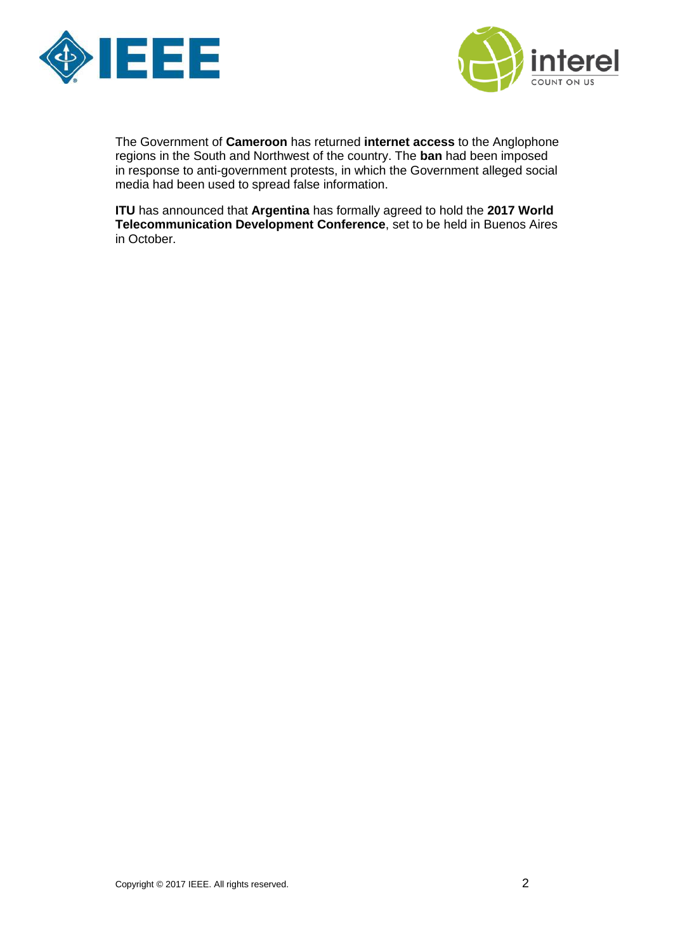



The Government of **Cameroon** has returned **internet access** to the Anglophone regions in the South and Northwest of the country. The **ban** had been imposed in response to anti-government protests, in which the Government alleged social media had been used to spread false information.

**ITU** has announced that **Argentina** has formally agreed to hold the **2017 World Telecommunication Development Conference**, set to be held in Buenos Aires in October.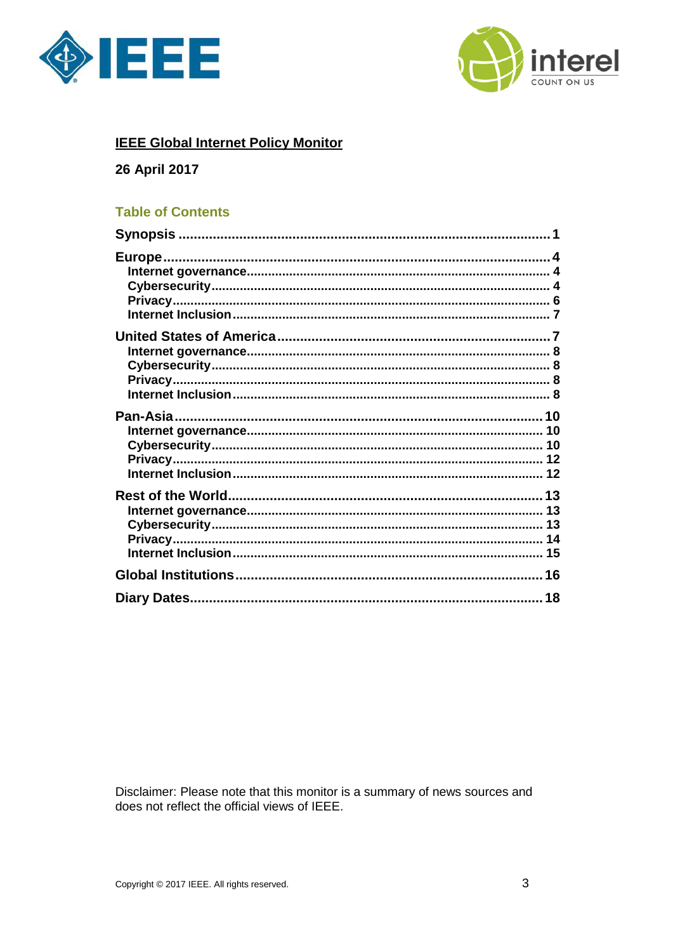



#### **IEEE Global Internet Policy Monitor**

#### 26 April 2017

#### **Table of Contents**

Disclaimer: Please note that this monitor is a summary of news sources and does not reflect the official views of IEEE.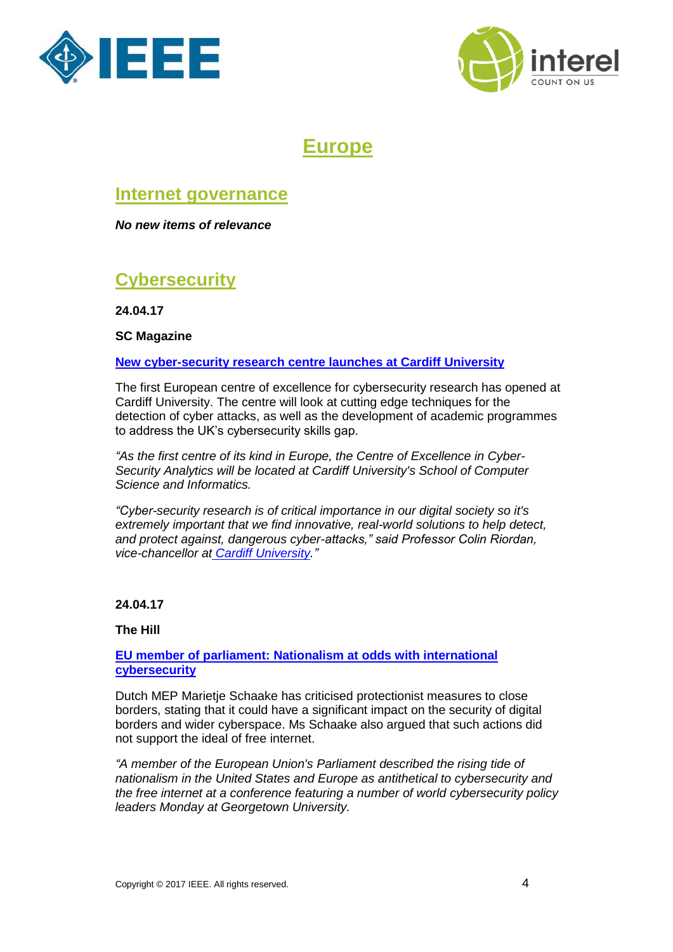



## **Europe**

### <span id="page-3-1"></span><span id="page-3-0"></span>**Internet governance**

*No new items of relevance*

## <span id="page-3-2"></span>**Cybersecurity**

**24.04.17**

#### **SC Magazine**

#### **[New cyber-security research centre launches at Cardiff University](https://www.scmagazineuk.com/new-cyber-security-research-centre-launches-at-cardiff-university/article/652350/)**

The first European centre of excellence for cybersecurity research has opened at Cardiff University. The centre will look at cutting edge techniques for the detection of cyber attacks, as well as the development of academic programmes to address the UK's cybersecurity skills gap.

*"As the first centre of its kind in Europe, the Centre of Excellence in Cyber-Security Analytics will be located at Cardiff University's School of Computer Science and Informatics.*

*"Cyber-security research is of critical importance in our digital society so it's extremely important that we find innovative, real-world solutions to help detect, and protect against, dangerous cyber-attacks," said Professor Colin Riordan, vice-chancellor at [Cardiff University.](http://www.cardiff.ac.uk/)"*

#### **24.04.17**

#### **The Hill**

#### **[EU member of parliament: Nationalism at odds with international](http://thehill.com/policy/cybersecurity/330221-eu-member-of-parliament-nationalism-at-odds-with-international)  [cybersecurity](http://thehill.com/policy/cybersecurity/330221-eu-member-of-parliament-nationalism-at-odds-with-international)**

Dutch MEP Marietje Schaake has criticised protectionist measures to close borders, stating that it could have a significant impact on the security of digital borders and wider cyberspace. Ms Schaake also argued that such actions did not support the ideal of free internet.

*"A member of the European Union's Parliament described the rising tide of nationalism in the United States and Europe as antithetical to cybersecurity and the free internet at a conference featuring a number of world cybersecurity policy leaders Monday at Georgetown University.*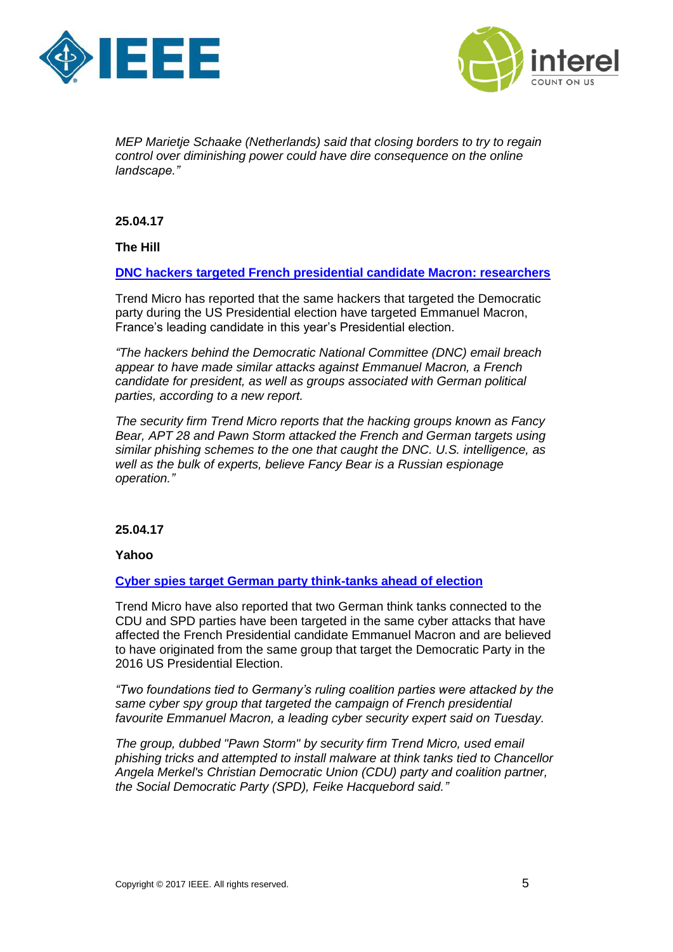



*MEP Marietje Schaake (Netherlands) said that closing borders to try to regain control over diminishing power could have dire consequence on the online landscape."*

**25.04.17**

**The Hill**

**[DNC hackers targeted French presidential candidate Macron: researchers](http://thehill.com/policy/cybersecurity/330357-dnc-hackers-targeted-french-presidential-candidate-macron-researchers)**

Trend Micro has reported that the same hackers that targeted the Democratic party during the US Presidential election have targeted Emmanuel Macron, France's leading candidate in this year's Presidential election.

*"The hackers behind the Democratic National Committee (DNC) email breach appear to have made similar attacks against Emmanuel Macron, a French candidate for president, as well as groups associated with German political parties, according to a new report.*

*The security firm Trend Micro reports that the hacking groups known as Fancy Bear, APT 28 and Pawn Storm attacked the French and German targets using similar phishing schemes to the one that caught the DNC. U.S. intelligence, as well as the bulk of experts, believe Fancy Bear is a Russian espionage operation."*

#### **25.04.17**

**Yahoo**

**[Cyber spies target German party think-tanks ahead of election](https://uk.finance.yahoo.com/news/cyber-spies-target-german-party-133523178.html)**

Trend Micro have also reported that two German think tanks connected to the CDU and SPD parties have been targeted in the same cyber attacks that have affected the French Presidential candidate Emmanuel Macron and are believed to have originated from the same group that target the Democratic Party in the 2016 US Presidential Election.

*"Two foundations tied to Germany's ruling coalition parties were attacked by the same cyber spy group that targeted the campaign of French presidential favourite Emmanuel Macron, a leading cyber security expert said on Tuesday.*

*The group, dubbed "Pawn Storm" by security firm Trend Micro, used email phishing tricks and attempted to install malware at think tanks tied to Chancellor Angela Merkel's Christian Democratic Union (CDU) party and coalition partner, the Social Democratic Party (SPD), Feike Hacquebord said."*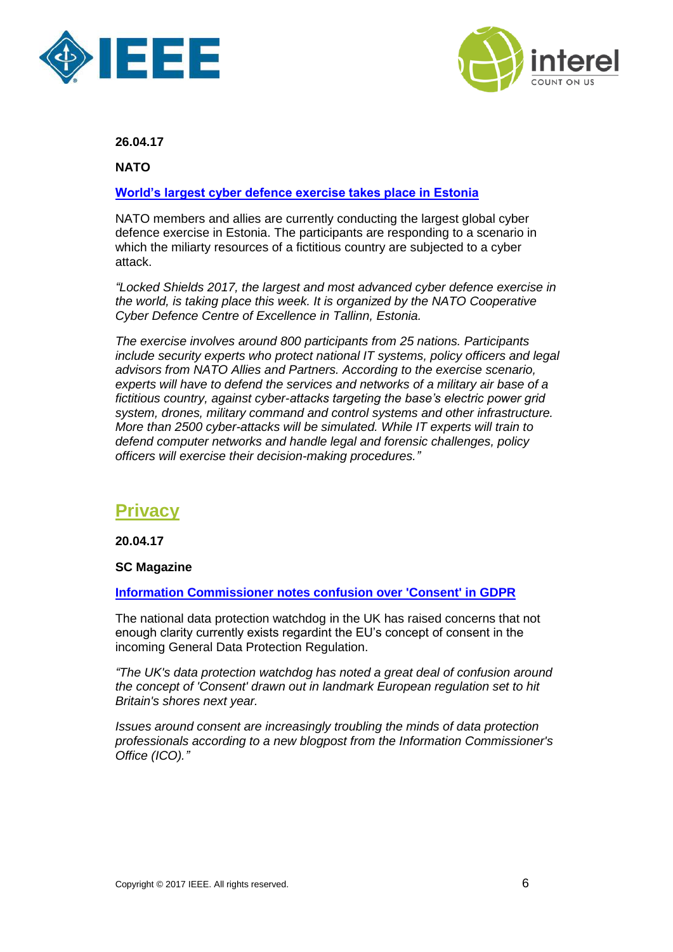



**NATO**

#### **[World's largest cyber defence exercise takes place in Estonia](http://www.nato.int/cps/en/natohq/news_143301.htm?selectedLocale=en)**

NATO members and allies are currently conducting the largest global cyber defence exercise in Estonia. The participants are responding to a scenario in which the miliarty resources of a fictitious country are subjected to a cyber attack.

*"Locked Shields 2017, the largest and most advanced cyber defence exercise in the world, is taking place this week. It is organized by the NATO Cooperative Cyber Defence Centre of Excellence in Tallinn, Estonia.*

*The exercise involves around 800 participants from 25 nations. Participants include security experts who protect national IT systems, policy officers and legal advisors from NATO Allies and Partners. According to the exercise scenario, experts will have to defend the services and networks of a military air base of a fictitious country, against cyber-attacks targeting the base's electric power grid system, drones, military command and control systems and other infrastructure. More than 2500 cyber-attacks will be simulated. While IT experts will train to defend computer networks and handle legal and forensic challenges, policy officers will exercise their decision-making procedures."*

## <span id="page-5-0"></span>**Privacy**

**20.04.17** 

#### **SC Magazine**

**[Information Commissioner notes confusion over 'Consent' in GDPR](https://www.scmagazine.com/information-commissioner-notes-confusion-over-consent-in-gdpr/article/651755/)**

The national data protection watchdog in the UK has raised concerns that not enough clarity currently exists regardint the EU's concept of consent in the incoming General Data Protection Regulation.

*"The UK's data protection watchdog has noted a great deal of confusion around the concept of 'Consent' drawn out in landmark European regulation set to hit Britain's shores next year.*

*Issues around consent are increasingly troubling the minds of data protection professionals according to a new blogpost from the Information Commissioner's Office (ICO)."*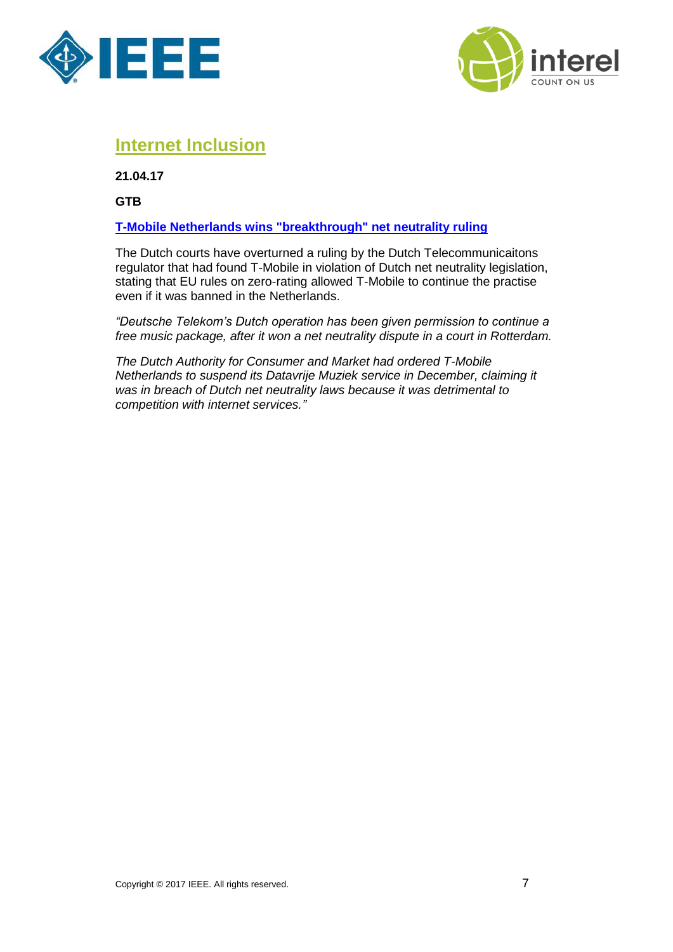



## <span id="page-6-0"></span>**Internet Inclusion**

**21.04.17**

**GTB**

#### **[T-Mobile Netherlands wins "breakthrough" net neutrality ruling](https://www.globaltelecomsbusiness.com/article/b12nmkzhjxvs4s/tmobile-netherlands-wins-quotbreakthroughquot-net-neutrality-ruling)**

The Dutch courts have overturned a ruling by the Dutch Telecommunicaitons regulator that had found T-Mobile in violation of Dutch net neutrality legislation, stating that EU rules on zero-rating allowed T-Mobile to continue the practise even if it was banned in the Netherlands.

*"Deutsche Telekom's Dutch operation has been given permission to continue a free music package, after it won a net neutrality dispute in a court in Rotterdam.*

*The Dutch Authority for Consumer and Market had ordered T-Mobile Netherlands to suspend its Datavrije Muziek service in December, claiming it was in breach of Dutch net neutrality laws because it was detrimental to competition with internet services."*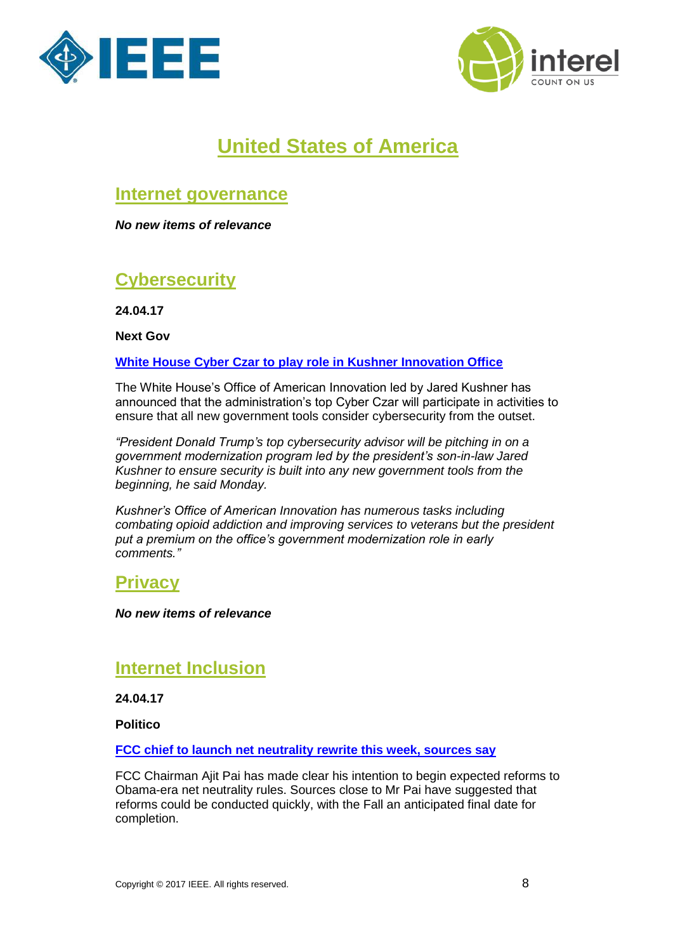



# **United States of America**

## <span id="page-7-0"></span>**Internet governance**

*No new items of relevance*

## <span id="page-7-1"></span>**Cybersecurity**

**24.04.17**

**Next Gov**

#### <span id="page-7-2"></span>**[White House Cyber Czar to play role in Kushner Innovation Office](http://www.nextgov.com/cybersecurity/2017/04/white-house-cyber-czar-play-role-kushner-innovation-office/137262/?oref=ng-technology-news-all)**

The White House's Office of American Innovation led by Jared Kushner has announced that the administration's top Cyber Czar will participate in activities to ensure that all new government tools consider cybersecurity from the outset.

*"President Donald Trump's top cybersecurity advisor will be pitching in on a government modernization program led by the president's son-in-law Jared Kushner to ensure security is built into any new government tools from the beginning, he said Monday.*

*Kushner's Office of American Innovation has numerous tasks including combating opioid addiction and improving services to veterans but the president put a premium on the office's government modernization role in early comments."*

### **Privacy**

*No new items of relevance*

## <span id="page-7-3"></span>**Internet Inclusion**

**24.04.17**

**Politico**

**[FCC chief to launch net neutrality rewrite this week, sources say](http://www.politico.com/story/2017/04/24/net-neutrality-fcc-237543)**

FCC Chairman Ajit Pai has made clear his intention to begin expected reforms to Obama-era net neutrality rules. Sources close to Mr Pai have suggested that reforms could be conducted quickly, with the Fall an anticipated final date for completion.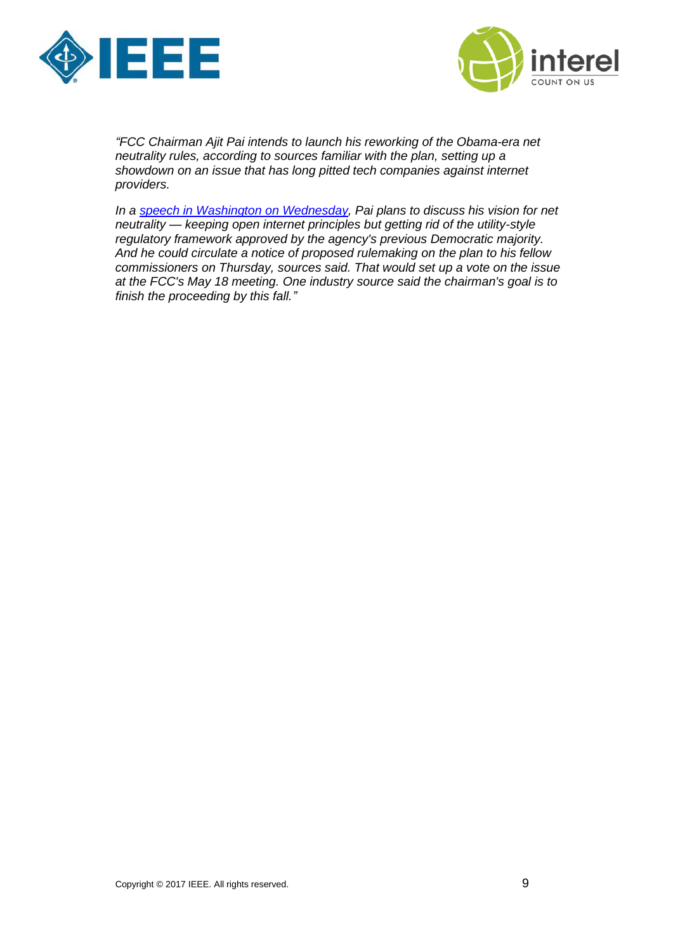



*"FCC Chairman Ajit Pai intends to launch his reworking of the Obama-era net neutrality rules, according to sources familiar with the plan, setting up a showdown on an issue that has long pitted tech companies against internet providers.*

*In a [speech in Washington on Wednesday,](https://www.politicopro.com/tech/whiteboard/2017/04/fccs-pai-to-talk-internet-regulation-this-week-086657) Pai plans to discuss his vision for net neutrality — keeping open internet principles but getting rid of the utility-style regulatory framework approved by the agency's previous Democratic majority. And he could circulate a notice of proposed rulemaking on the plan to his fellow commissioners on Thursday, sources said. That would set up a vote on the issue at the FCC's May 18 meeting. One industry source said the chairman's goal is to finish the proceeding by this fall."*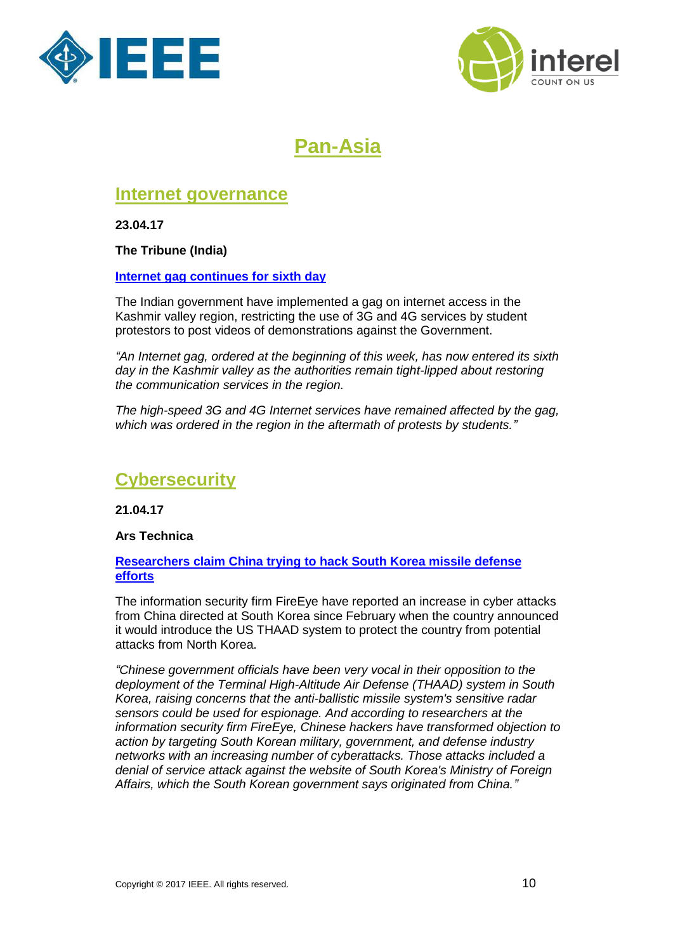



# **Pan-Asia**

## <span id="page-9-1"></span><span id="page-9-0"></span>**Internet governance**

**23.04.17**

**The Tribune (India)**

#### **[Internet gag continues for sixth day](http://www.tribuneindia.com/news/jammu-kashmir/governance/internet-gag-continues-for-sixth-day/396023.html)**

The Indian government have implemented a gag on internet access in the Kashmir valley region, restricting the use of 3G and 4G services by student protestors to post videos of demonstrations against the Government.

*"An Internet gag, ordered at the beginning of this week, has now entered its sixth day in the Kashmir valley as the authorities remain tight-lipped about restoring the communication services in the region.*

*The high-speed 3G and 4G Internet services have remained affected by the gag, which was ordered in the region in the aftermath of protests by students."*

## <span id="page-9-2"></span>**Cybersecurity**

**21.04.17**

#### **Ars Technica**

#### **[Researchers claim China trying to hack South Korea missile defense](https://arstechnica.com/security/2017/04/researchers-claim-china-trying-to-hack-south-korea-missile-defense-efforts/)  [efforts](https://arstechnica.com/security/2017/04/researchers-claim-china-trying-to-hack-south-korea-missile-defense-efforts/)**

The information security firm FireEye have reported an increase in cyber attacks from China directed at South Korea since February when the country announced it would introduce the US THAAD system to protect the country from potential attacks from North Korea.

*"Chinese government officials have been very vocal in their opposition to the deployment of the Terminal High-Altitude Air Defense (THAAD) system in South Korea, raising concerns that the anti-ballistic missile system's sensitive radar sensors could be used for espionage. And according to researchers at the information security firm FireEye, Chinese hackers have transformed objection to action by targeting South Korean military, government, and defense industry networks with an increasing number of cyberattacks. Those attacks included a denial of service attack against the website of South Korea's Ministry of Foreign Affairs, which the South Korean government says originated from China."*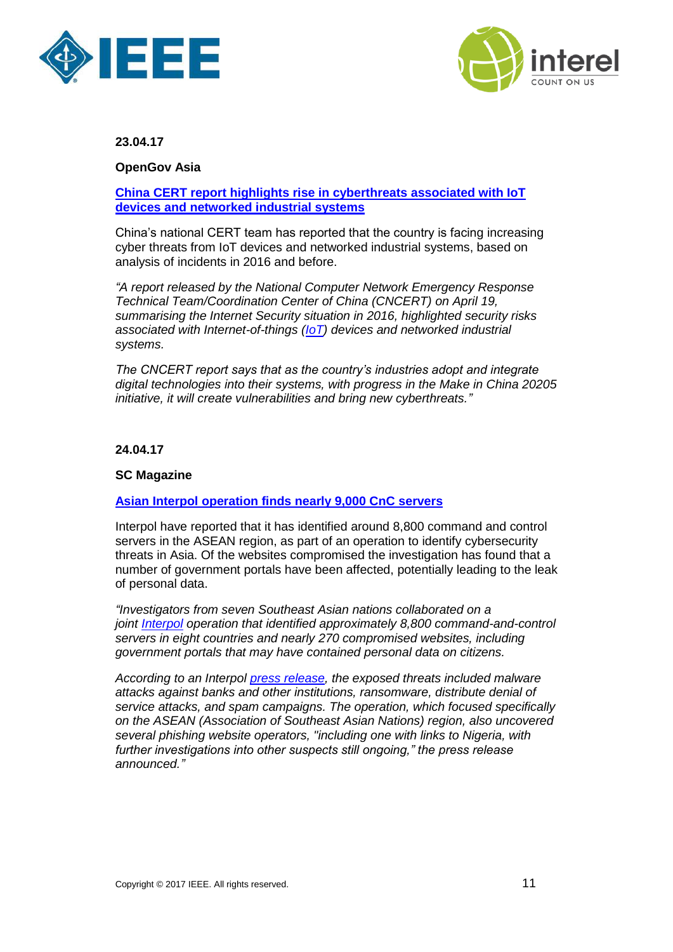



**OpenGov Asia**

#### **[China CERT report highlights rise in cyberthreats associated with IoT](http://www.opengovasia.com/articles/7544-report-by-china-cert-highlights-cybersecurity-risks-associated-with-iot-devices-and-networked-industrial-systems)  [devices and networked industrial systems](http://www.opengovasia.com/articles/7544-report-by-china-cert-highlights-cybersecurity-risks-associated-with-iot-devices-and-networked-industrial-systems)**

China's national CERT team has reported that the country is facing increasing cyber threats from IoT devices and networked industrial systems, based on analysis of incidents in 2016 and before.

*"A report released by the National Computer Network Emergency Response Technical Team/Coordination Center of China (CNCERT) on April 19, summarising the Internet Security situation in 2016, highlighted security risks associated with Internet-of-things [\(IoT\)](http://www.opengovasia.com/articles/7204-exclusive---from-isolated-embedded-systems-to-a-ubiquitous-connected-network-iot-security-challenges) devices and networked industrial systems.*

*The CNCERT report says that as the country's industries adopt and integrate digital technologies into their systems, with progress in the Make in China 20205 initiative, it will create vulnerabilities and bring new cyberthreats."*

#### **24.04.17**

#### **SC Magazine**

#### **[Asian Interpol operation finds nearly 9,000 CnC](https://www.scmagazine.com/asian-interpol-operation-finds-nearly-9000-cnc-servers/article/652508/) servers**

Interpol have reported that it has identified around 8,800 command and control servers in the ASEAN region, as part of an operation to identify cybersecurity threats in Asia. Of the websites compromised the investigation has found that a number of government portals have been affected, potentially leading to the leak of personal data.

*"Investigators from seven Southeast Asian nations collaborated on a joint [Interpol](https://www.scmagazine.com/search/Interpol/) operation that identified approximately 8,800 command-and-control servers in eight countries and nearly 270 compromised websites, including government portals that may have contained personal data on citizens.*

*According to an Interpol [press release,](https://www.interpol.int/News-and-media/News/2017/N2017-051) the exposed threats included malware attacks against banks and other institutions, ransomware, distribute denial of service attacks, and spam campaigns. The operation, which focused specifically on the ASEAN (Association of Southeast Asian Nations) region, also uncovered several phishing website operators, "including one with links to Nigeria, with further investigations into other suspects still ongoing," the press release announced."*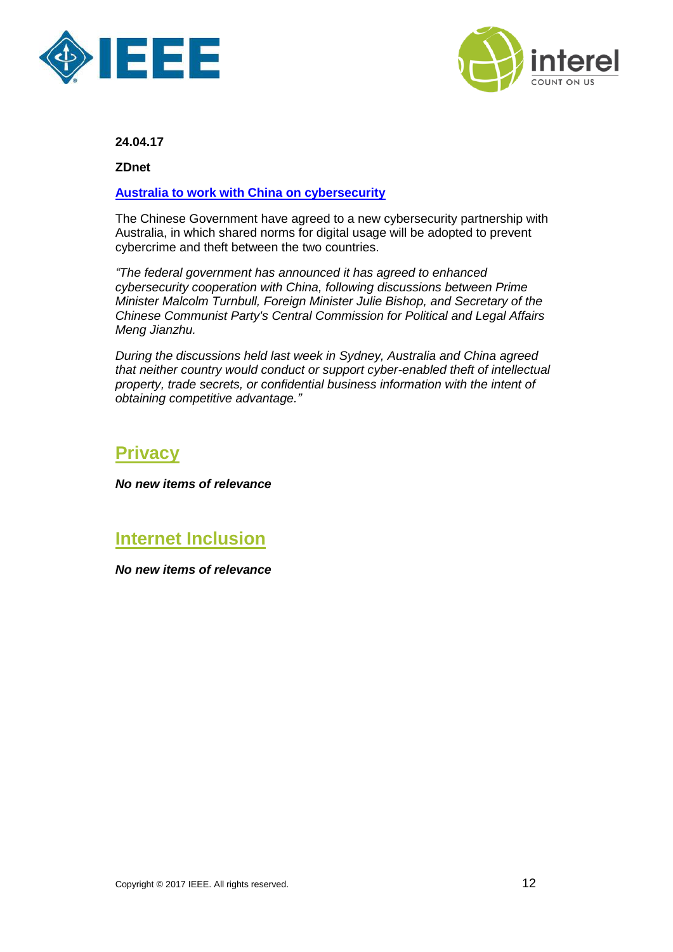



**ZDnet**

#### **[Australia to work with China on cybersecurity](http://www.zdnet.com/article/australia-to-work-with-china-on-cybersecurity/)**

The Chinese Government have agreed to a new cybersecurity partnership with Australia, in which shared norms for digital usage will be adopted to prevent cybercrime and theft between the two countries.

*"The federal government has announced it has agreed to enhanced cybersecurity cooperation with China, following discussions between Prime Minister Malcolm Turnbull, Foreign Minister Julie Bishop, and Secretary of the Chinese Communist Party's Central Commission for Political and Legal Affairs Meng Jianzhu.*

*During the discussions held last week in Sydney, Australia and China agreed that neither country would conduct or support cyber-enabled theft of intellectual property, trade secrets, or confidential business information with the intent of obtaining competitive advantage."*

### <span id="page-11-0"></span>**Privacy**

<span id="page-11-1"></span>*No new items of relevance*

## **Internet Inclusion**

*No new items of relevance*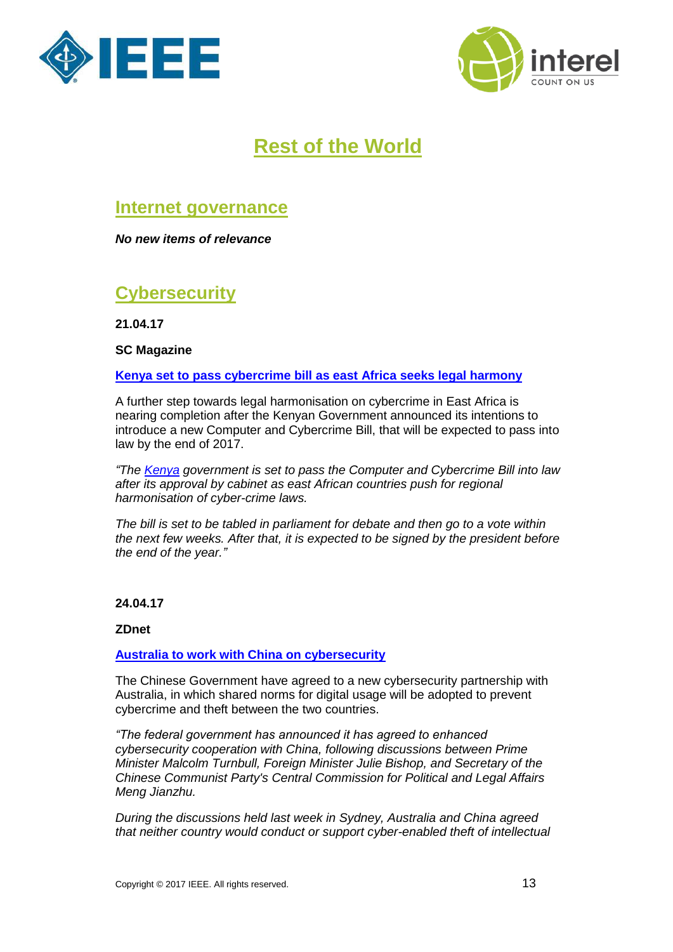



# **Rest of the World**

## <span id="page-12-1"></span><span id="page-12-0"></span>**Internet governance**

*No new items of relevance*

## <span id="page-12-2"></span>**Cybersecurity**

**21.04.17**

**SC Magazine**

**[Kenya set to pass cybercrime bill as east Africa seeks legal harmony](https://www.scmagazine.com/kenya-set-to-pass-cybercrime-bill-as-east-africa-seeks-legal-harmony/article/652326/)**

A further step towards legal harmonisation on cybercrime in East Africa is nearing completion after the Kenyan Government announced its intentions to introduce a new Computer and Cybercrime Bill, that will be expected to pass into law by the end of 2017.

*"The [Kenya](https://www.scmagazineuk.com/search/kenya/) government is set to pass the Computer and Cybercrime Bill into law after its approval by cabinet as east African countries push for regional harmonisation of cyber-crime laws.*

*The bill is set to be tabled in parliament for debate and then go to a vote within the next few weeks. After that, it is expected to be signed by the president before the end of the year."*

#### **24.04.17**

#### **ZDnet**

#### **[Australia to work with China on cybersecurity](http://www.zdnet.com/article/australia-to-work-with-china-on-cybersecurity/)**

The Chinese Government have agreed to a new cybersecurity partnership with Australia, in which shared norms for digital usage will be adopted to prevent cybercrime and theft between the two countries.

*"The federal government has announced it has agreed to enhanced cybersecurity cooperation with China, following discussions between Prime Minister Malcolm Turnbull, Foreign Minister Julie Bishop, and Secretary of the Chinese Communist Party's Central Commission for Political and Legal Affairs Meng Jianzhu.*

*During the discussions held last week in Sydney, Australia and China agreed that neither country would conduct or support cyber-enabled theft of intellectual*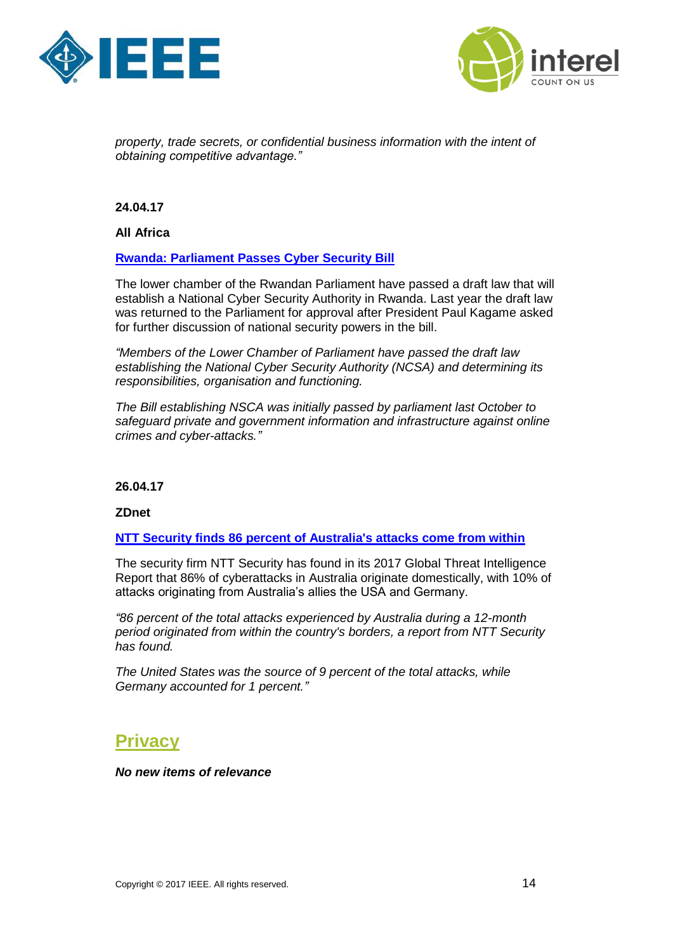



*property, trade secrets, or confidential business information with the intent of obtaining competitive advantage."*

**24.04.17**

**All Africa**

#### **[Rwanda: Parliament Passes Cyber Security Bill](http://allafrica.com/stories/201704240088.html)**

The lower chamber of the Rwandan Parliament have passed a draft law that will establish a National Cyber Security Authority in Rwanda. Last year the draft law was returned to the Parliament for approval after President Paul Kagame asked for further discussion of national security powers in the bill.

*"Members of the Lower Chamber of Parliament have passed the draft law establishing the National Cyber Security Authority (NCSA) and determining its responsibilities, organisation and functioning.*

*The Bill establishing NSCA was initially passed by parliament last October to safeguard private and government information and infrastructure against online crimes and cyber-attacks."*

**26.04.17**

**ZDnet**

#### **[NTT Security finds 86 percent of Australia's attacks come from within](http://www.zdnet.com/article/ntt-security-finds-86-percent-of-australias-attacks-come-from-within/)**

The security firm NTT Security has found in its 2017 Global Threat Intelligence Report that 86% of cyberattacks in Australia originate domestically, with 10% of attacks originating from Australia's allies the USA and Germany.

*"86 percent of the total attacks experienced by Australia during a 12-month period originated from within the country's borders, a report from NTT Security has found.*

*The United States was the source of 9 percent of the total attacks, while Germany accounted for 1 percent."*

### <span id="page-13-0"></span>**Privacy**

*No new items of relevance*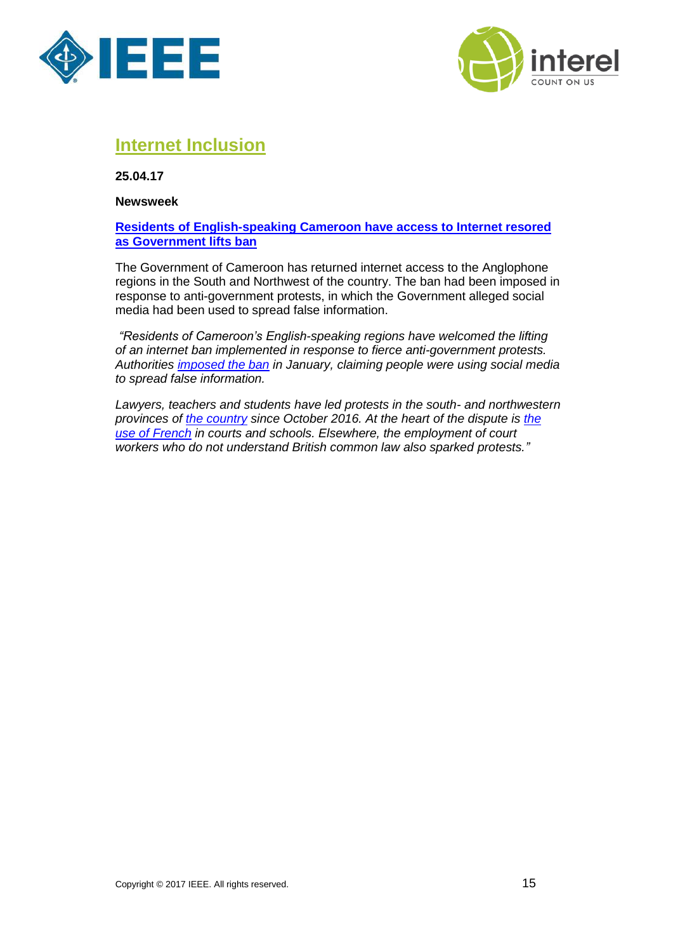



## <span id="page-14-0"></span>**Internet Inclusion**

**25.04.17**

**Newsweek**

#### **[Residents of English-speaking Cameroon have access to Internet resored](http://www.newsweek.com/cameroon-anglophone-internet-587734)  [as Government lifts ban](http://www.newsweek.com/cameroon-anglophone-internet-587734)**

The Government of Cameroon has returned internet access to the Anglophone regions in the South and Northwest of the country. The ban had been imposed in response to anti-government protests, in which the Government alleged social media had been used to spread false information.

*"Residents of Cameroon's English-speaking regions have welcomed the lifting of an internet ban implemented in response to fierce anti-government protests. Authorities [imposed the ban](https://actucameroun.com/2017/01/29/cameroun-libom-li-likeng-dame-de-fer-prive-partie-anglophone-dinternet/) in January, claiming people were using social media to spread false information.*

*Lawyers, teachers and students have led protests in the south- and northwestern provinces of [the country](http://www.newsweek.com/cameroon-anglophone-problem-paul-biya-556151) since October 2016. At the heart of the dispute is [the](http://www.newsweek.com/cameroon-arrests-anglophone-protests-french-language-524375)  [use of French](http://www.newsweek.com/cameroon-arrests-anglophone-protests-french-language-524375) in courts and schools. Elsewhere, the employment of court workers who do not understand British common law also sparked protests."*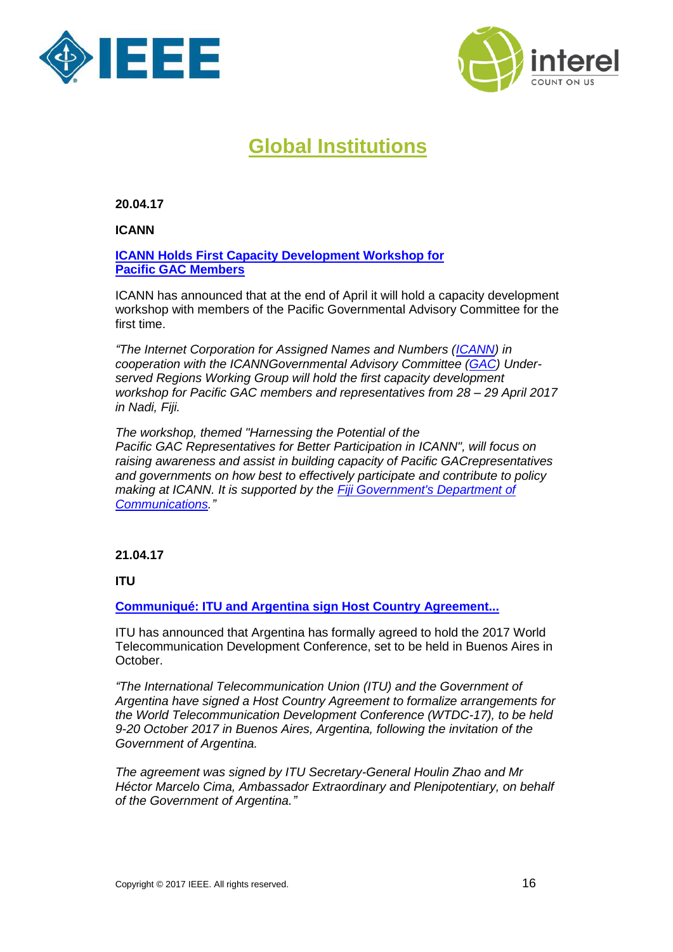



# **Global Institutions**

<span id="page-15-0"></span>**20.04.17**

**ICANN**

**ICANN [Holds First Capacity Development Workshop for](https://www.icann.org/news/announcement-3-2017-04-20-en)  Pacific GAC [Members](https://www.icann.org/news/announcement-3-2017-04-20-en)**

ICANN has announced that at the end of April it will hold a capacity development workshop with members of the Pacific Governmental Advisory Committee for the first time.

*"The Internet Corporation for Assigned Names and Numbers [\(ICANN\)](https://www.icann.org/) in cooperation with the ICANNGovernmental Advisory Committee [\(GAC\)](https://gacweb.icann.org/display/gacweb/Governmental+Advisory+Committee#sectionId=0) Underserved Regions Working Group will hold the first capacity development workshop for Pacific GAC members and representatives from 28 – 29 April 2017 in Nadi, Fiji.*

*The workshop, themed "Harnessing the Potential of the Pacific GAC Representatives for Better Participation in ICANN", will focus on raising awareness and assist in building capacity of Pacific GACrepresentatives and governments on how best to effectively participate and contribute to policy making at ICANN. It is supported by the [Fiji Government's Department of](http://www.communications.gov.fj/)  [Communications.](http://www.communications.gov.fj/)"*

#### **21.04.17**

**ITU**

**[Communiqué: ITU and Argentina sign Host Country Agreement...](http://www.itu.int/en/mediacentre/Pages/2017-CM04.aspx)**

ITU has announced that Argentina has formally agreed to hold the 2017 World Telecommunication Development Conference, set to be held in Buenos Aires in October.

*"The International Telecommunication Union (ITU) and the Government of Argentina have signed a Host Country Agreement to formalize arrangements for the World Telecommunication Development Conference (WTDC-17), to be held 9-20 October 2017 in Buenos Aires, Argentina, following the invitation of the Government of Argentina.*

*The agreement was signed by ITU Secretary-General Houlin Zhao and Mr Héctor Marcelo Cima, Ambassador Extraordinary and Plenipotentiary, on behalf of the Government of Argentina."*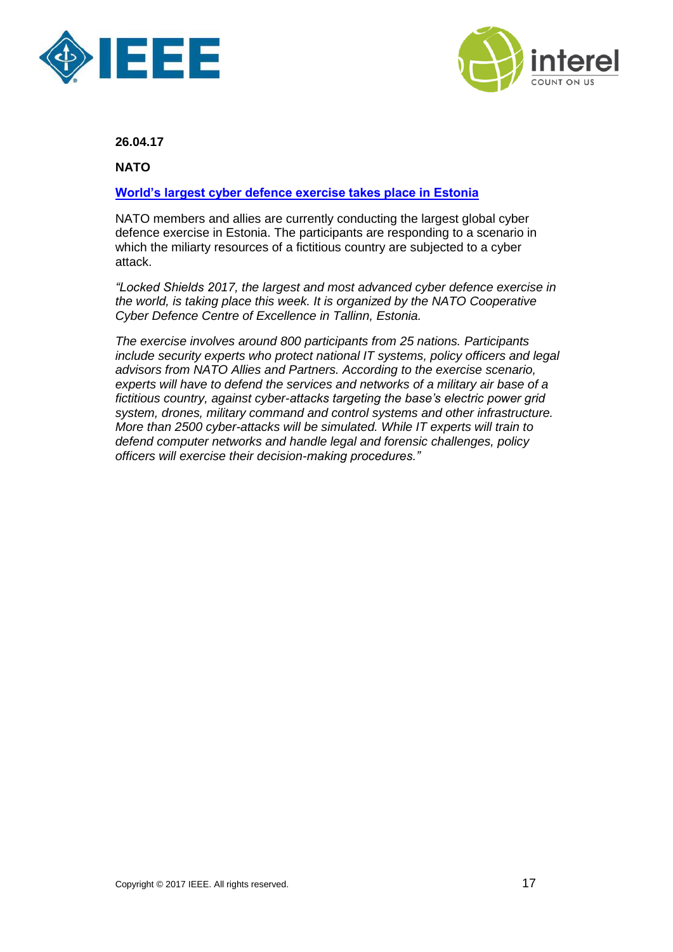



**NATO**

#### **[World's largest cyber defence exercise takes place in Estonia](http://www.nato.int/cps/en/natohq/news_143301.htm?selectedLocale=en)**

NATO members and allies are currently conducting the largest global cyber defence exercise in Estonia. The participants are responding to a scenario in which the miliarty resources of a fictitious country are subjected to a cyber attack.

*"Locked Shields 2017, the largest and most advanced cyber defence exercise in the world, is taking place this week. It is organized by the NATO Cooperative Cyber Defence Centre of Excellence in Tallinn, Estonia.*

*The exercise involves around 800 participants from 25 nations. Participants include security experts who protect national IT systems, policy officers and legal advisors from NATO Allies and Partners. According to the exercise scenario, experts will have to defend the services and networks of a military air base of a fictitious country, against cyber-attacks targeting the base's electric power grid system, drones, military command and control systems and other infrastructure. More than 2500 cyber-attacks will be simulated. While IT experts will train to defend computer networks and handle legal and forensic challenges, policy officers will exercise their decision-making procedures."*